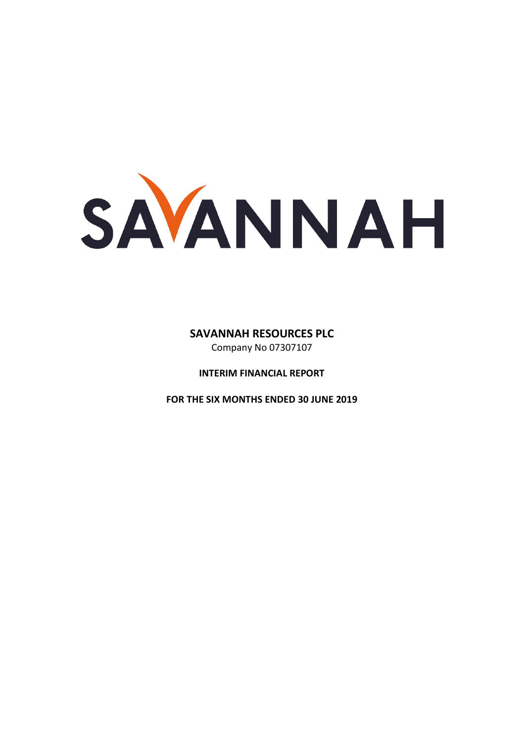SAVANNAH

# **SAVANNAH RESOURCES PLC**

Company No 07307107

**INTERIM FINANCIAL REPORT** 

**FOR THE SIX MONTHS ENDED 30 JUNE 2019**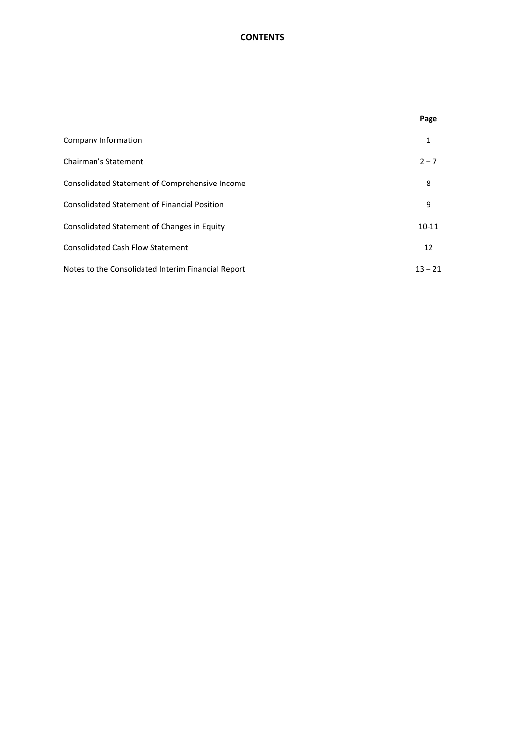# **CONTENTS**

|                                                     | Page      |
|-----------------------------------------------------|-----------|
| Company Information                                 | 1         |
| Chairman's Statement                                | $2 - 7$   |
| Consolidated Statement of Comprehensive Income      | 8         |
| <b>Consolidated Statement of Financial Position</b> | 9         |
| Consolidated Statement of Changes in Equity         | $10 - 11$ |
| <b>Consolidated Cash Flow Statement</b>             | 12        |
| Notes to the Consolidated Interim Financial Report  | $13 - 21$ |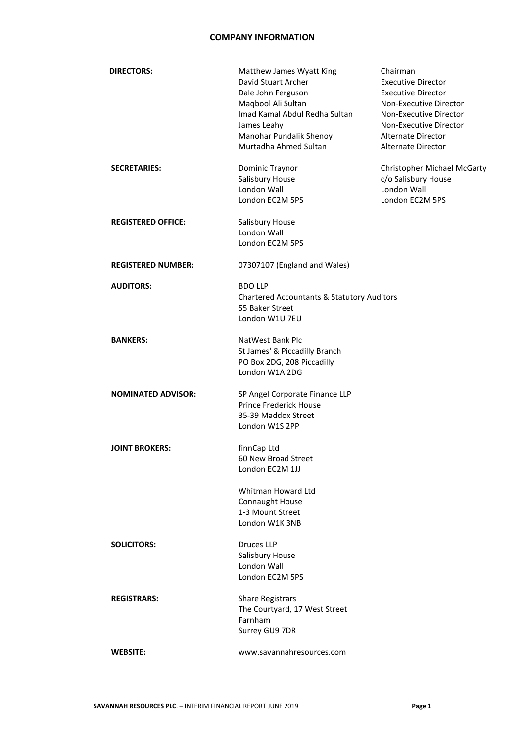### **COMPANY INFORMATION**

| <b>DIRECTORS:</b>         | Matthew James Wyatt King<br>David Stuart Archer<br>Dale John Ferguson<br>Maqbool Ali Sultan<br>Imad Kamal Abdul Redha Sultan<br>James Leahy<br>Manohar Pundalik Shenoy<br>Murtadha Ahmed Sultan | Chairman<br><b>Executive Director</b><br><b>Executive Director</b><br>Non-Executive Director<br>Non-Executive Director<br>Non-Executive Director<br>Alternate Director<br>Alternate Director |
|---------------------------|-------------------------------------------------------------------------------------------------------------------------------------------------------------------------------------------------|----------------------------------------------------------------------------------------------------------------------------------------------------------------------------------------------|
| <b>SECRETARIES:</b>       | Dominic Traynor<br>Salisbury House<br>London Wall<br>London EC2M 5PS                                                                                                                            | Christopher Michael McGarty<br>c/o Salisbury House<br>London Wall<br>London EC2M 5PS                                                                                                         |
| <b>REGISTERED OFFICE:</b> | Salisbury House<br>London Wall<br>London EC2M 5PS                                                                                                                                               |                                                                                                                                                                                              |
| <b>REGISTERED NUMBER:</b> | 07307107 (England and Wales)                                                                                                                                                                    |                                                                                                                                                                                              |
| <b>AUDITORS:</b>          | <b>BDO LLP</b><br><b>Chartered Accountants &amp; Statutory Auditors</b><br>55 Baker Street<br>London W1U 7EU                                                                                    |                                                                                                                                                                                              |
| <b>BANKERS:</b>           | NatWest Bank Plc<br>St James' & Piccadilly Branch<br>PO Box 2DG, 208 Piccadilly<br>London W1A 2DG                                                                                               |                                                                                                                                                                                              |
| <b>NOMINATED ADVISOR:</b> | SP Angel Corporate Finance LLP<br><b>Prince Frederick House</b><br>35-39 Maddox Street<br>London W1S 2PP                                                                                        |                                                                                                                                                                                              |
| <b>JOINT BROKERS:</b>     | finnCap Ltd<br>60 New Broad Street<br>London EC2M 1JJ                                                                                                                                           |                                                                                                                                                                                              |
|                           | Whitman Howard Ltd<br>Connaught House<br>1-3 Mount Street<br>London W1K 3NB                                                                                                                     |                                                                                                                                                                                              |
| <b>SOLICITORS:</b>        | <b>Druces LLP</b><br>Salisbury House<br>London Wall<br>London EC2M 5PS                                                                                                                          |                                                                                                                                                                                              |
| <b>REGISTRARS:</b>        | <b>Share Registrars</b><br>The Courtyard, 17 West Street<br>Farnham<br>Surrey GU9 7DR                                                                                                           |                                                                                                                                                                                              |
| <b>WEBSITE:</b>           | www.savannahresources.com                                                                                                                                                                       |                                                                                                                                                                                              |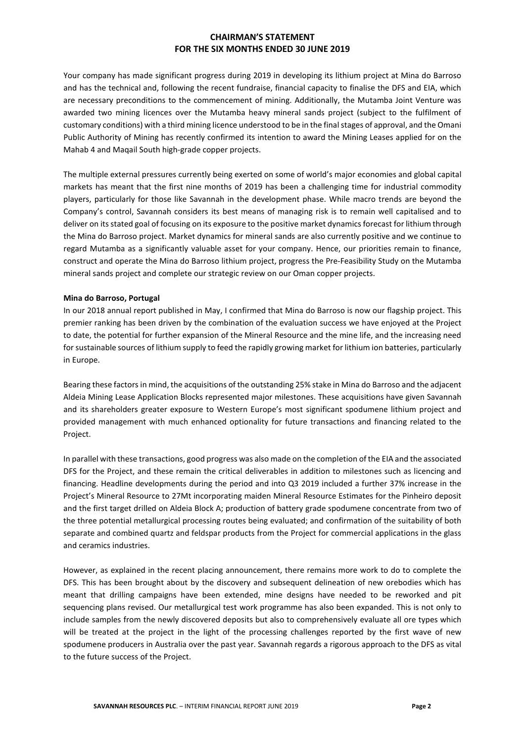Your company has made significant progress during 2019 in developing its lithium project at Mina do Barroso and has the technical and, following the recent fundraise, financial capacity to finalise the DFS and EIA, which are necessary preconditions to the commencement of mining. Additionally, the Mutamba Joint Venture was awarded two mining licences over the Mutamba heavy mineral sands project (subject to the fulfilment of customary conditions) with a third mining licence understood to be in the finalstages of approval, and the Omani Public Authority of Mining has recently confirmed its intention to award the Mining Leases applied for on the Mahab 4 and Maqail South high-grade copper projects.

The multiple external pressures currently being exerted on some of world's major economies and global capital markets has meant that the first nine months of 2019 has been a challenging time for industrial commodity players, particularly for those like Savannah in the development phase. While macro trends are beyond the Company's control, Savannah considers its best means of managing risk is to remain well capitalised and to deliver on its stated goal of focusing on its exposure to the positive market dynamics forecast for lithium through the Mina do Barroso project. Market dynamics for mineral sands are also currently positive and we continue to regard Mutamba as a significantly valuable asset for your company. Hence, our priorities remain to finance, construct and operate the Mina do Barroso lithium project, progress the Pre-Feasibility Study on the Mutamba mineral sands project and complete our strategic review on our Oman copper projects.

#### **Mina do Barroso, Portugal**

In our 2018 annual report published in May, I confirmed that Mina do Barroso is now our flagship project. This premier ranking has been driven by the combination of the evaluation success we have enjoyed at the Project to date, the potential for further expansion of the Mineral Resource and the mine life, and the increasing need for sustainable sources of lithium supply to feed the rapidly growing market for lithium ion batteries, particularly in Europe.

Bearing these factors in mind, the acquisitions of the outstanding 25% stake in Mina do Barroso and the adjacent Aldeia Mining Lease Application Blocks represented major milestones. These acquisitions have given Savannah and its shareholders greater exposure to Western Europe's most significant spodumene lithium project and provided management with much enhanced optionality for future transactions and financing related to the Project.

In parallel with these transactions, good progress was also made on the completion of the EIA and the associated DFS for the Project, and these remain the critical deliverables in addition to milestones such as licencing and financing. Headline developments during the period and into Q3 2019 included a further 37% increase in the Project's Mineral Resource to 27Mt incorporating maiden Mineral Resource Estimates for the Pinheiro deposit and the first target drilled on Aldeia Block A; production of battery grade spodumene concentrate from two of the three potential metallurgical processing routes being evaluated; and confirmation of the suitability of both separate and combined quartz and feldspar products from the Project for commercial applications in the glass and ceramics industries.

However, as explained in the recent placing announcement, there remains more work to do to complete the DFS. This has been brought about by the discovery and subsequent delineation of new orebodies which has meant that drilling campaigns have been extended, mine designs have needed to be reworked and pit sequencing plans revised. Our metallurgical test work programme has also been expanded. This is not only to include samples from the newly discovered deposits but also to comprehensively evaluate all ore types which will be treated at the project in the light of the processing challenges reported by the first wave of new spodumene producers in Australia over the past year. Savannah regards a rigorous approach to the DFS as vital to the future success of the Project.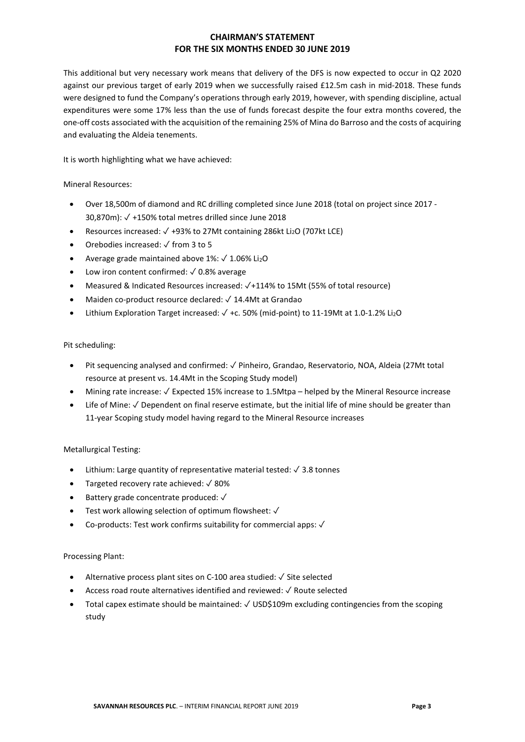This additional but very necessary work means that delivery of the DFS is now expected to occur in Q2 2020 against our previous target of early 2019 when we successfully raised £12.5m cash in mid-2018. These funds were designed to fund the Company's operations through early 2019, however, with spending discipline, actual expenditures were some 17% less than the use of funds forecast despite the four extra months covered, the one-off costs associated with the acquisition of the remaining 25% of Mina do Barroso and the costs of acquiring and evaluating the Aldeia tenements.

It is worth highlighting what we have achieved:

Mineral Resources:

- Over 18,500m of diamond and RC drilling completed since June 2018 (total on project since 2017 30,870m): ✓ +150% total metres drilled since June 2018
- Resources increased: ✓ +93% to 27Mt containing 286kt Li2O (707kt LCE)
- Orebodies increased: ✓ from 3 to 5
- Average grade maintained above  $1\%$ :  $\sqrt{1.06\% \text{ Li}_2\text{O}}$
- Low iron content confirmed:  $\sqrt{0.8\%}$  average
- Measured & Indicated Resources increased: ✓+114% to 15Mt (55% of total resource)
- Maiden co-product resource declared: ✓ 14.4Mt at Grandao
- Lithium Exploration Target increased: ✓ +c. 50% (mid-point) to 11-19Mt at 1.0-1.2% Li2O

Pit scheduling:

- Pit sequencing analysed and confirmed: ✓ Pinheiro, Grandao, Reservatorio, NOA, Aldeia (27Mt total resource at present vs. 14.4Mt in the Scoping Study model)
- Mining rate increase: ✓ Expected 15% increase to 1.5Mtpa helped by the Mineral Resource increase
- Life of Mine:  $\sqrt{\ }$  Dependent on final reserve estimate, but the initial life of mine should be greater than 11-year Scoping study model having regard to the Mineral Resource increases

Metallurgical Testing:

- Lithium: Large quantity of representative material tested: ✓ 3.8 tonnes
- Targeted recovery rate achieved: ✓ 80%
- Battery grade concentrate produced: ✓
- Test work allowing selection of optimum flowsheet: √
- Co-products: Test work confirms suitability for commercial apps: ✓

Processing Plant:

- Alternative process plant sites on C-100 area studied: ✓ Site selected
- Access road route alternatives identified and reviewed: ✓ Route selected
- Total capex estimate should be maintained: ✓ USD\$109m excluding contingencies from the scoping study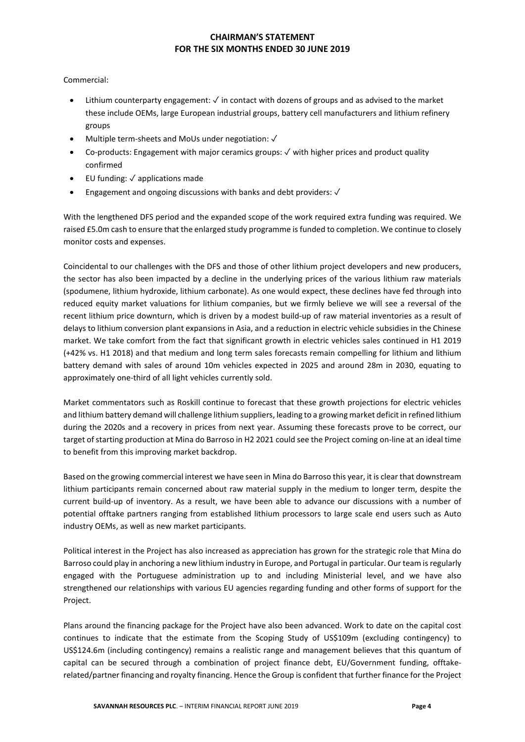Commercial:

- Lithium counterparty engagement:  $\checkmark$  in contact with dozens of groups and as advised to the market these include OEMs, large European industrial groups, battery cell manufacturers and lithium refinery groups
- Multiple term-sheets and MoUs under negotiation: ✓
- Co-products: Engagement with major ceramics groups: ✓ with higher prices and product quality confirmed
- EU funding: ✓ applications made
- Engagement and ongoing discussions with banks and debt providers: ✓

With the lengthened DFS period and the expanded scope of the work required extra funding was required. We raised £5.0m cash to ensure that the enlarged study programme is funded to completion. We continue to closely monitor costs and expenses.

Coincidental to our challenges with the DFS and those of other lithium project developers and new producers, the sector has also been impacted by a decline in the underlying prices of the various lithium raw materials (spodumene, lithium hydroxide, lithium carbonate). As one would expect, these declines have fed through into reduced equity market valuations for lithium companies, but we firmly believe we will see a reversal of the recent lithium price downturn, which is driven by a modest build-up of raw material inventories as a result of delays to lithium conversion plant expansions in Asia, and a reduction in electric vehicle subsidies in the Chinese market. We take comfort from the fact that significant growth in electric vehicles sales continued in H1 2019 (+42% vs. H1 2018) and that medium and long term sales forecasts remain compelling for lithium and lithium battery demand with sales of around 10m vehicles expected in 2025 and around 28m in 2030, equating to approximately one-third of all light vehicles currently sold.

Market commentators such as Roskill continue to forecast that these growth projections for electric vehicles and lithium battery demand will challenge lithium suppliers, leading to a growing market deficit in refined lithium during the 2020s and a recovery in prices from next year. Assuming these forecasts prove to be correct, our target ofstarting production at Mina do Barroso in H2 2021 could see the Project coming on-line at an ideal time to benefit from this improving market backdrop.

Based on the growing commercial interest we have seen in Mina do Barroso this year, it is clear that downstream lithium participants remain concerned about raw material supply in the medium to longer term, despite the current build-up of inventory. As a result, we have been able to advance our discussions with a number of potential offtake partners ranging from established lithium processors to large scale end users such as Auto industry OEMs, as well as new market participants.

Political interest in the Project has also increased as appreciation has grown for the strategic role that Mina do Barroso could play in anchoring a new lithium industry in Europe, and Portugal in particular. Our team is regularly engaged with the Portuguese administration up to and including Ministerial level, and we have also strengthened our relationships with various EU agencies regarding funding and other forms of support for the Project.

Plans around the financing package for the Project have also been advanced. Work to date on the capital cost continues to indicate that the estimate from the Scoping Study of US\$109m (excluding contingency) to US\$124.6m (including contingency) remains a realistic range and management believes that this quantum of capital can be secured through a combination of project finance debt, EU/Government funding, offtakerelated/partner financing and royalty financing. Hence the Group is confident that further finance for the Project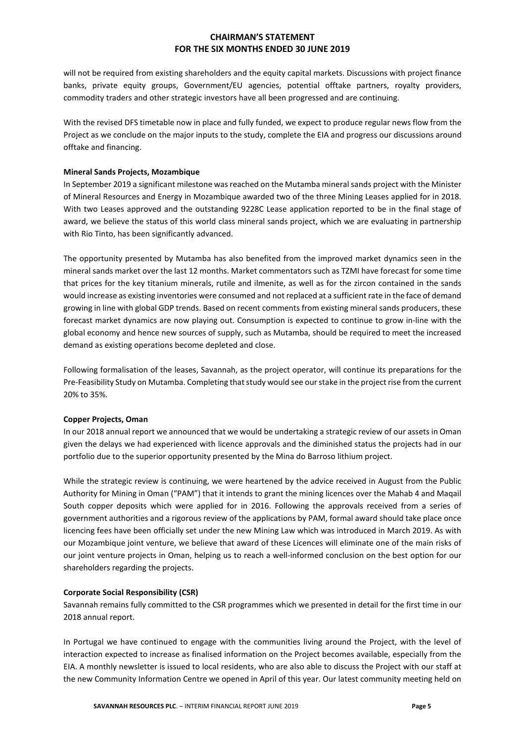will not be required from existing shareholders and the equity capital markets. Discussions with project finance banks, private equity groups, Government/EU agencies, potential offtake partners, royalty providers, commodity traders and other strategic investors have all been progressed and are continuing.

With the revised DFS timetable now in place and fully funded, we expect to produce regular news flow from the Project as we conclude on the major inputs to the study, complete the EIA and progress our discussions around offtake and financing.

### **Mineral Sands Projects, Mozambique**

In September 2019 a significant milestone was reached on the Mutamba mineral sands project with the Minister of Mineral Resources and Energy in Mozambique awarded two of the three Mining Leases applied for in 2018. With two Leases approved and the outstanding 9228C Lease application reported to be in the final stage of award, we believe the status of this world class mineral sands project, which we are evaluating in partnership with Rio Tinto, has been significantly advanced.

The opportunity presented by Mutamba has also benefited from the improved market dynamics seen in the mineral sands market over the last 12 months. Market commentators such as TZMI have forecast for some time that prices for the key titanium minerals, rutile and ilmenite, as well as for the zircon contained in the sands would increase as existing inventories were consumed and not replaced at a sufficient rate in the face of demand growing in line with global GDP trends. Based on recent comments from existing mineral sands producers, these forecast market dynamics are now playing out. Consumption is expected to continue to grow in-line with the global economy and hence new sources of supply, such as Mutamba, should be required to meet the increased demand as existing operations become depleted and close.

Following formalisation of the leases, Savannah, as the project operator, will continue its preparations for the Pre-Feasibility Study on Mutamba. Completing that study would see our stake in the project rise from the current 20% to 35%.

#### **Copper Projects, Oman**

In our 2018 annual report we announced that we would be undertaking a strategic review of our assets in Oman given the delays we had experienced with licence approvals and the diminished status the projects had in our portfolio due to the superior opportunity presented by the Mina do Barroso lithium project.

While the strategic review is continuing, we were heartened by the advice received in August from the Public Authority for Mining in Oman ("PAM") that it intends to grant the mining licences over the Mahab 4 and Maqail South copper deposits which were applied for in 2016. Following the approvals received from a series of government authorities and a rigorous review of the applications by PAM, formal award should take place once licencing fees have been officially set under the new Mining Law which was introduced in March 2019. As with our Mozambique joint venture, we believe that award of these Licences will eliminate one of the main risks of our joint venture projects in Oman, helping us to reach a well-informed conclusion on the best option for our shareholders regarding the projects.

#### **Corporate Social Responsibility (CSR)**

Savannah remains fully committed to the CSR programmes which we presented in detail for the first time in our 2018 annual report.

In Portugal we have continued to engage with the communities living around the Project, with the level of interaction expected to increase as finalised information on the Project becomes available, especially from the EIA. A monthly newsletter is issued to local residents, who are also able to discuss the Project with our staff at the new Community Information Centre we opened in April of this year. Our latest community meeting held on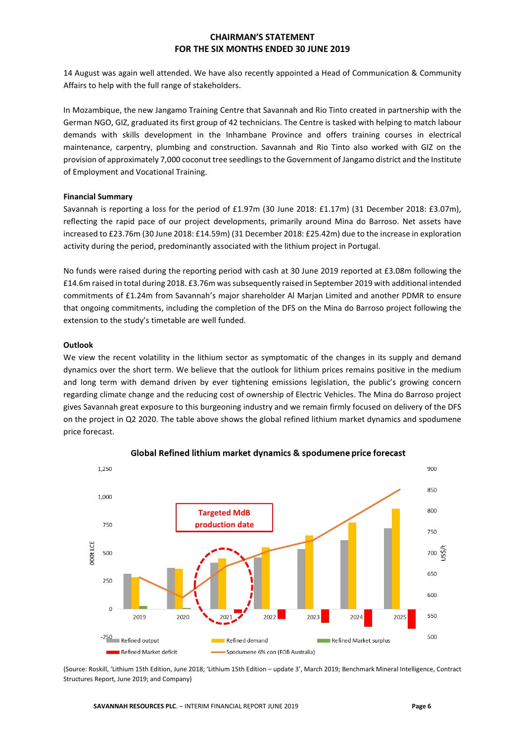14 August was again well attended. We have also recently appointed a Head of Communication & Community Affairs to help with the full range of stakeholders.

In Mozambique, the new Jangamo Training Centre that Savannah and Rio Tinto created in partnership with the German NGO, GIZ, graduated its first group of 42 technicians. The Centre is tasked with helping to match labour demands with skills development in the Inhambane Province and offers training courses in electrical maintenance, carpentry, plumbing and construction. Savannah and Rio Tinto also worked with GIZ on the provision of approximately 7,000 coconut tree seedlingsto the Government of Jangamo district and the Institute of Employment and Vocational Training.

#### **Financial Summary**

Savannah is reporting a loss for the period of £1.97m (30 June 2018: £1.17m) (31 December 2018: £3.07m), reflecting the rapid pace of our project developments, primarily around Mina do Barroso. Net assets have increased to £23.76m (30 June 2018: £14.59m) (31 December 2018: £25.42m) due to the increase in exploration activity during the period, predominantly associated with the lithium project in Portugal.

No funds were raised during the reporting period with cash at 30 June 2019 reported at £3.08m following the £14.6m raised in total during 2018. £3.76m wassubsequently raised in September 2019 with additional intended commitments of £1.24m from Savannah's major shareholder Al Marjan Limited and another PDMR to ensure that ongoing commitments, including the completion of the DFS on the Mina do Barroso project following the extension to the study's timetable are well funded.

### **Outlook**

We view the recent volatility in the lithium sector as symptomatic of the changes in its supply and demand dynamics over the short term. We believe that the outlook for lithium prices remains positive in the medium and long term with demand driven by ever tightening emissions legislation, the public's growing concern regarding climate change and the reducing cost of ownership of Electric Vehicles. The Mina do Barroso project gives Savannah great exposure to this burgeoning industry and we remain firmly focused on delivery of the DFS on the project in Q2 2020. The table above shows the global refined lithium market dynamics and spodumene price forecast.



Global Refined lithium market dynamics & spodumene price forecast

(Source: Roskill, 'Lithium 15th Edition, June 2018; 'Lithium 15th Edition – update 3', March 2019; Benchmark Mineral Intelligence, Contract Structures Report, June 2019; and Company)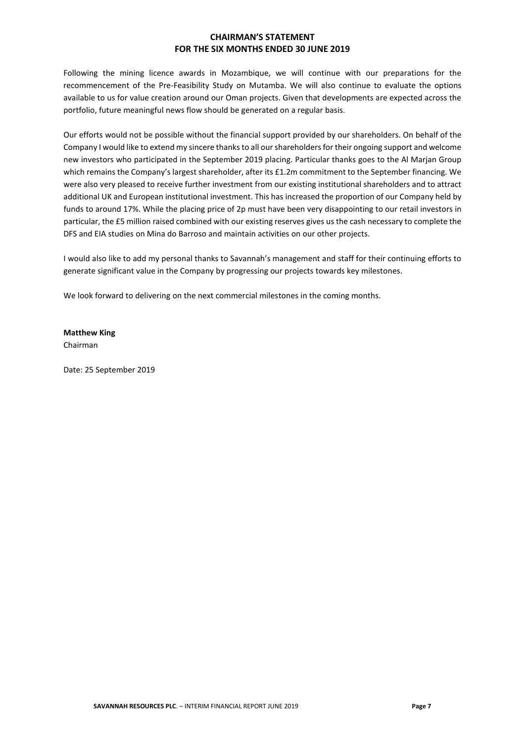Following the mining licence awards in Mozambique, we will continue with our preparations for the recommencement of the Pre-Feasibility Study on Mutamba. We will also continue to evaluate the options available to us for value creation around our Oman projects. Given that developments are expected across the portfolio, future meaningful news flow should be generated on a regular basis.

Our efforts would not be possible without the financial support provided by our shareholders. On behalf of the Company I would like to extend my sincere thanks to all our shareholders for their ongoing support and welcome new investors who participated in the September 2019 placing. Particular thanks goes to the Al Marjan Group which remains the Company's largest shareholder, after its £1.2m commitment to the September financing. We were also very pleased to receive further investment from our existing institutional shareholders and to attract additional UK and European institutional investment. This has increased the proportion of our Company held by funds to around 17%. While the placing price of 2p must have been very disappointing to our retail investors in particular, the £5 million raised combined with our existing reserves gives us the cash necessary to complete the DFS and EIA studies on Mina do Barroso and maintain activities on our other projects.

I would also like to add my personal thanks to Savannah's management and staff for their continuing efforts to generate significant value in the Company by progressing our projects towards key milestones.

We look forward to delivering on the next commercial milestones in the coming months.

**Matthew King**

Chairman

Date: 25 September 2019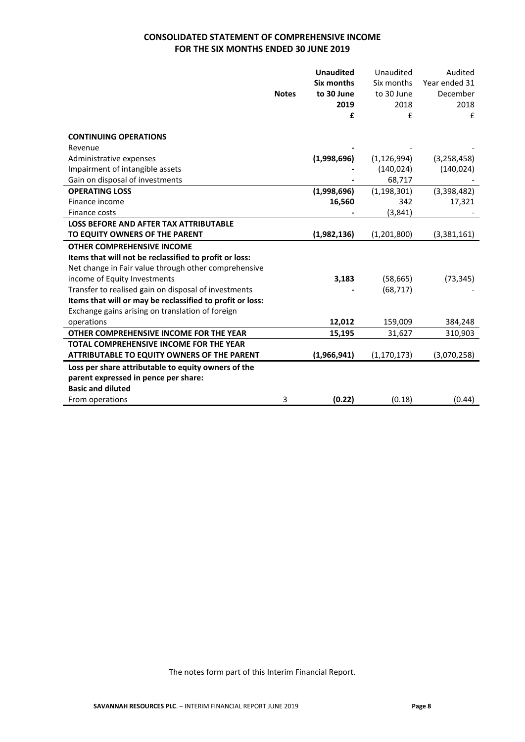# **CONSOLIDATED STATEMENT OF COMPREHENSIVE INCOME FOR THE SIX MONTHS ENDED 30 JUNE 2019**

|                                                           |              | <b>Unaudited</b> | Unaudited     | Audited       |
|-----------------------------------------------------------|--------------|------------------|---------------|---------------|
|                                                           |              | Six months       | Six months    | Year ended 31 |
|                                                           | <b>Notes</b> | to 30 June       | to 30 June    | December      |
|                                                           |              | 2019             | 2018          | 2018          |
|                                                           |              | £                | £             | £             |
| <b>CONTINUING OPERATIONS</b>                              |              |                  |               |               |
|                                                           |              |                  |               |               |
| Revenue                                                   |              | (1,998,696)      | (1, 126, 994) | (3, 258, 458) |
| Administrative expenses                                   |              |                  |               |               |
| Impairment of intangible assets                           |              |                  | (140, 024)    | (140, 024)    |
| Gain on disposal of investments                           |              |                  | 68,717        |               |
| <b>OPERATING LOSS</b>                                     |              | (1,998,696)      | (1, 198, 301) | (3,398,482)   |
| Finance income                                            |              | 16,560           | 342           | 17,321        |
| Finance costs                                             |              |                  | (3,841)       |               |
| <b>LOSS BEFORE AND AFTER TAX ATTRIBUTABLE</b>             |              |                  |               |               |
| TO EQUITY OWNERS OF THE PARENT                            |              | (1,982,136)      | (1,201,800)   | (3,381,161)   |
| <b>OTHER COMPREHENSIVE INCOME</b>                         |              |                  |               |               |
| Items that will not be reclassified to profit or loss:    |              |                  |               |               |
| Net change in Fair value through other comprehensive      |              |                  |               |               |
| income of Equity Investments                              |              | 3,183            | (58, 665)     | (73, 345)     |
| Transfer to realised gain on disposal of investments      |              |                  | (68, 717)     |               |
| Items that will or may be reclassified to profit or loss: |              |                  |               |               |
| Exchange gains arising on translation of foreign          |              |                  |               |               |
| operations                                                |              | 12,012           | 159,009       | 384,248       |
| OTHER COMPREHENSIVE INCOME FOR THE YEAR                   |              | 15,195           | 31,627        | 310,903       |
| <b>TOTAL COMPREHENSIVE INCOME FOR THE YEAR</b>            |              |                  |               |               |
| ATTRIBUTABLE TO EQUITY OWNERS OF THE PARENT               |              | (1,966,941)      | (1, 170, 173) | (3,070,258)   |
| Loss per share attributable to equity owners of the       |              |                  |               |               |
| parent expressed in pence per share:                      |              |                  |               |               |
| <b>Basic and diluted</b>                                  |              |                  |               |               |
| From operations                                           | 3            | (0.22)           | (0.18)        | (0.44)        |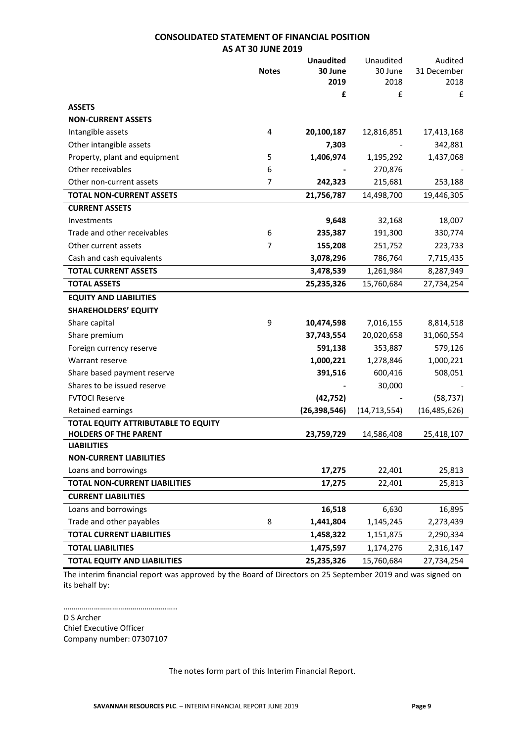### **CONSOLIDATED STATEMENT OF FINANCIAL POSITION AS AT 30 JUNE 2019**

|                                      |              | <b>Unaudited</b> | Unaudited      | Audited        |
|--------------------------------------|--------------|------------------|----------------|----------------|
|                                      | <b>Notes</b> | 30 June          | 30 June        | 31 December    |
|                                      |              | 2019             | 2018           | 2018           |
|                                      |              | £                | £              | £              |
| <b>ASSETS</b>                        |              |                  |                |                |
| <b>NON-CURRENT ASSETS</b>            |              |                  |                |                |
| Intangible assets                    | 4            | 20,100,187       | 12,816,851     | 17,413,168     |
| Other intangible assets              |              | 7,303            |                | 342,881        |
| Property, plant and equipment        | 5            | 1,406,974        | 1,195,292      | 1,437,068      |
| Other receivables                    | 6            |                  | 270,876        |                |
| Other non-current assets             | 7            | 242,323          | 215,681        | 253,188        |
| <b>TOTAL NON-CURRENT ASSETS</b>      |              | 21,756,787       | 14,498,700     | 19,446,305     |
| <b>CURRENT ASSETS</b>                |              |                  |                |                |
| Investments                          |              | 9,648            | 32,168         | 18,007         |
| Trade and other receivables          | 6            | 235,387          | 191,300        | 330,774        |
| Other current assets                 | 7            | 155,208          | 251,752        | 223,733        |
| Cash and cash equivalents            |              | 3,078,296        | 786,764        | 7,715,435      |
| <b>TOTAL CURRENT ASSETS</b>          |              | 3,478,539        | 1,261,984      | 8,287,949      |
| <b>TOTAL ASSETS</b>                  |              | 25,235,326       | 15,760,684     | 27,734,254     |
| <b>EQUITY AND LIABILITIES</b>        |              |                  |                |                |
| <b>SHAREHOLDERS' EQUITY</b>          |              |                  |                |                |
| Share capital                        | 9            | 10,474,598       | 7,016,155      | 8,814,518      |
| Share premium                        |              | 37,743,554       | 20,020,658     | 31,060,554     |
| Foreign currency reserve             |              | 591,138          | 353,887        | 579,126        |
| Warrant reserve                      |              | 1,000,221        | 1,278,846      | 1,000,221      |
| Share based payment reserve          |              | 391,516          | 600,416        | 508,051        |
| Shares to be issued reserve          |              |                  | 30,000         |                |
| <b>FVTOCI Reserve</b>                |              | (42, 752)        |                | (58, 737)      |
| Retained earnings                    |              | (26, 398, 546)   | (14, 713, 554) | (16, 485, 626) |
| TOTAL EQUITY ATTRIBUTABLE TO EQUITY  |              |                  |                |                |
| <b>HOLDERS OF THE PARENT</b>         |              | 23,759,729       | 14,586,408     | 25,418,107     |
| <b>LIABILITIES</b>                   |              |                  |                |                |
| <b>NON-CURRENT LIABILITIES</b>       |              |                  |                |                |
| Loans and borrowings                 |              | 17,275           | 22,401         | 25,813         |
| <b>TOTAL NON-CURRENT LIABILITIES</b> |              | 17,275           | 22,401         | 25,813         |
| <b>CURRENT LIABILITIES</b>           |              |                  |                |                |
| Loans and borrowings                 |              | 16,518           | 6,630          | 16,895         |
| Trade and other payables             | 8            | 1,441,804        | 1,145,245      | 2,273,439      |
| <b>TOTAL CURRENT LIABILITIES</b>     |              | 1,458,322        | 1,151,875      | 2,290,334      |
| <b>TOTAL LIABILITIES</b>             |              | 1,475,597        | 1,174,276      | 2,316,147      |
| <b>TOTAL EQUITY AND LIABILITIES</b>  |              | 25,235,326       | 15,760,684     | 27,734,254     |

The interim financial report was approved by the Board of Directors on 25 September 2019 and was signed on its behalf by:

……………………………………………….. D S Archer Chief Executive Officer Company number: 07307107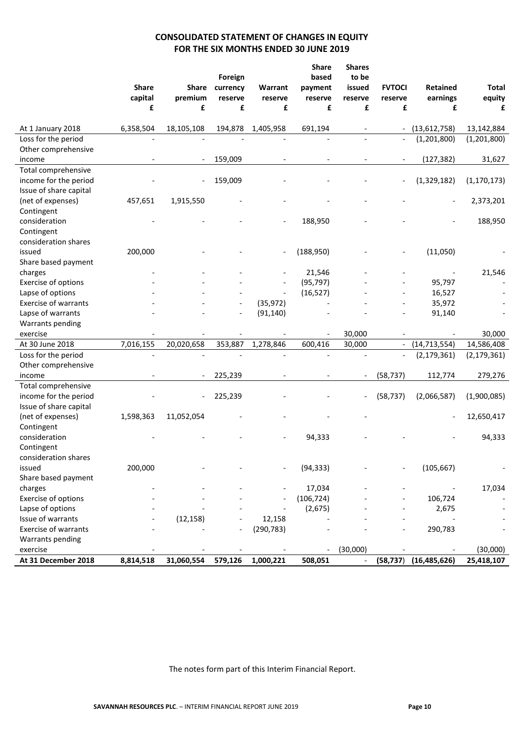# **CONSOLIDATED STATEMENT OF CHANGES IN EQUITY FOR THE SIX MONTHS ENDED 30 JUNE 2019**

|                             | <b>Share</b> | Share                    | Foreign<br>currency | Warrant    | <b>Share</b><br>based<br>payment | <b>Shares</b><br>to be<br>issued | <b>FVTOCI</b>            | Retained       | <b>Total</b>  |
|-----------------------------|--------------|--------------------------|---------------------|------------|----------------------------------|----------------------------------|--------------------------|----------------|---------------|
|                             | capital      | premium                  | reserve             | reserve    | reserve                          | reserve                          | reserve                  | earnings       | equity        |
|                             | £            | £                        | £                   | £          | £                                | £                                | £                        | £              | £             |
|                             |              |                          |                     |            |                                  |                                  |                          |                |               |
| At 1 January 2018           | 6,358,504    | 18,105,108               | 194,878             | 1,405,958  | 691,194                          |                                  | $\overline{\phantom{a}}$ | (13,612,758)   | 13,142,884    |
| Loss for the period         |              |                          |                     |            | $\overline{a}$                   |                                  | $\overline{\phantom{a}}$ | (1,201,800)    | (1,201,800)   |
| Other comprehensive         |              |                          |                     |            |                                  |                                  |                          |                |               |
| income                      |              | $\overline{\phantom{a}}$ | 159,009             |            | $\overline{\phantom{a}}$         |                                  |                          | (127, 382)     | 31,627        |
| Total comprehensive         |              |                          |                     |            |                                  |                                  |                          |                |               |
| income for the period       |              |                          | 159,009             |            |                                  |                                  |                          | (1,329,182)    | (1, 170, 173) |
| Issue of share capital      |              |                          |                     |            |                                  |                                  |                          |                |               |
| (net of expenses)           | 457,651      | 1,915,550                |                     |            |                                  |                                  |                          |                | 2,373,201     |
| Contingent                  |              |                          |                     |            |                                  |                                  |                          |                |               |
| consideration               |              |                          |                     |            | 188,950                          |                                  |                          |                | 188,950       |
| Contingent                  |              |                          |                     |            |                                  |                                  |                          |                |               |
| consideration shares        |              |                          |                     |            |                                  |                                  |                          |                |               |
| issued                      | 200,000      |                          |                     |            | (188, 950)                       |                                  |                          | (11,050)       |               |
| Share based payment         |              |                          |                     |            |                                  |                                  |                          |                |               |
| charges                     |              |                          |                     |            | 21,546                           |                                  |                          |                | 21,546        |
| Exercise of options         |              |                          |                     |            | (95, 797)                        |                                  |                          | 95,797         |               |
| Lapse of options            |              |                          |                     |            | (16, 527)                        |                                  |                          | 16,527         |               |
| <b>Exercise of warrants</b> |              |                          |                     | (35, 972)  |                                  |                                  |                          | 35,972         |               |
| Lapse of warrants           |              |                          |                     | (91, 140)  |                                  |                                  |                          | 91,140         |               |
| Warrants pending            |              |                          |                     |            |                                  |                                  |                          |                |               |
| exercise                    |              |                          |                     |            |                                  | 30,000                           |                          |                | 30,000        |
| At 30 June 2018             | 7,016,155    | 20,020,658               | 353,887             | 1,278,846  | 600,416                          | 30,000                           | $\overline{\phantom{a}}$ | (14, 713, 554) | 14,586,408    |
| Loss for the period         |              |                          |                     |            |                                  |                                  |                          | (2, 179, 361)  | (2, 179, 361) |
| Other comprehensive         |              |                          |                     |            |                                  |                                  |                          |                |               |
| income                      |              |                          | 225,239             |            |                                  |                                  | (58, 737)                | 112,774        | 279,276       |
| Total comprehensive         |              |                          |                     |            |                                  |                                  |                          |                |               |
| income for the period       |              | $\overline{\phantom{0}}$ | 225,239             |            |                                  |                                  | (58, 737)                | (2,066,587)    | (1,900,085)   |
| Issue of share capital      |              |                          |                     |            |                                  |                                  |                          |                |               |
| (net of expenses)           | 1,598,363    | 11,052,054               |                     |            |                                  |                                  |                          |                | 12,650,417    |
| Contingent                  |              |                          |                     |            |                                  |                                  |                          |                |               |
| consideration               |              |                          |                     |            | 94,333                           |                                  |                          |                | 94,333        |
| Contingent                  |              |                          |                     |            |                                  |                                  |                          |                |               |
| consideration shares        |              |                          |                     |            |                                  |                                  |                          |                |               |
| issued                      | 200,000      |                          |                     |            | (94, 333)                        |                                  |                          | (105, 667)     |               |
| Share based payment         |              |                          |                     |            |                                  |                                  |                          |                |               |
| charges                     |              |                          |                     |            | 17,034                           |                                  |                          |                | 17,034        |
| Exercise of options         |              |                          |                     |            | (106, 724)                       |                                  |                          | 106,724        |               |
| Lapse of options            |              |                          |                     |            | (2,675)                          |                                  |                          | 2,675          |               |
| Issue of warrants           |              | (12, 158)                |                     | 12,158     |                                  |                                  |                          |                |               |
| Exercise of warrants        |              |                          |                     | (290, 783) |                                  |                                  |                          | 290,783        |               |
| Warrants pending            |              |                          |                     |            |                                  |                                  |                          |                |               |
| exercise                    |              |                          |                     |            |                                  | (30,000)                         |                          |                | (30,000)      |
| At 31 December 2018         | 8,814,518    | 31,060,554               | 579,126             | 1,000,221  | 508,051                          |                                  | (58, 737)                | (16, 485, 626) | 25,418,107    |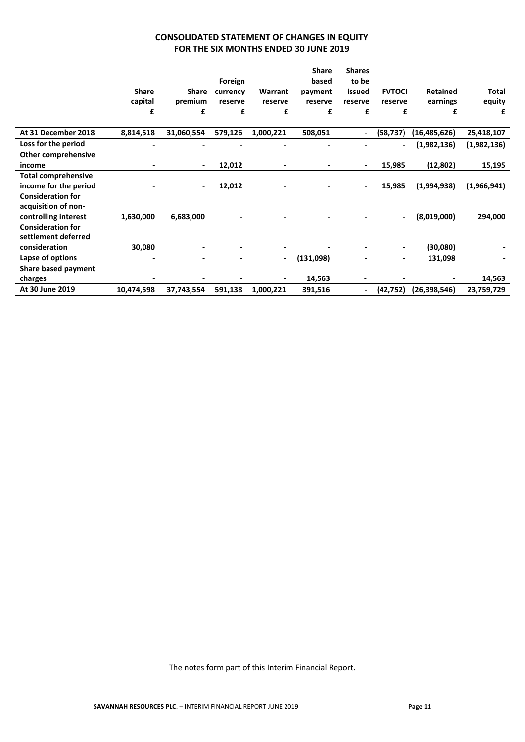# **CONSOLIDATED STATEMENT OF CHANGES IN EQUITY FOR THE SIX MONTHS ENDED 30 JUNE 2019**

|                            |              |                          | Foreign  |                | <b>Share</b><br>based | <b>Shares</b><br>to be |                          |                 |              |
|----------------------------|--------------|--------------------------|----------|----------------|-----------------------|------------------------|--------------------------|-----------------|--------------|
|                            | <b>Share</b> | Share                    | currency | Warrant        | payment               | issued                 | <b>FVTOCI</b>            | <b>Retained</b> | <b>Total</b> |
|                            | capital      | premium                  | reserve  | reserve        | reserve               | reserve                | reserve                  | earnings        | equity       |
|                            | £            | £                        | £        | £              | £                     | £                      | £                        | £               | £            |
| At 31 December 2018        | 8,814,518    | 31,060,554               | 579,126  | 1,000,221      | 508,051               |                        | (58, 737)                | (16, 485, 626)  | 25,418,107   |
| Loss for the period        |              |                          |          |                |                       |                        | $\overline{\phantom{a}}$ | (1,982,136)     | (1,982,136)  |
| <b>Other comprehensive</b> |              |                          |          |                |                       |                        |                          |                 |              |
| income                     |              | $\overline{\phantom{a}}$ | 12,012   |                |                       |                        | 15,985                   | (12, 802)       | 15,195       |
| <b>Total comprehensive</b> |              |                          |          |                |                       |                        |                          |                 |              |
| income for the period      |              | $\overline{\phantom{a}}$ | 12,012   |                |                       |                        | 15,985                   | (1,994,938)     | (1,966,941)  |
| <b>Consideration for</b>   |              |                          |          |                |                       |                        |                          |                 |              |
| acquisition of non-        |              |                          |          |                |                       |                        |                          |                 |              |
| controlling interest       | 1,630,000    | 6,683,000                |          |                |                       |                        | $\blacksquare$           | (8,019,000)     | 294,000      |
| <b>Consideration for</b>   |              |                          |          |                |                       |                        |                          |                 |              |
| settlement deferred        |              |                          |          |                |                       |                        |                          |                 |              |
| consideration              | 30,080       |                          |          |                |                       |                        | $\blacksquare$           | (30,080)        |              |
| Lapse of options           |              | $\blacksquare$           |          | $\blacksquare$ | (131,098)             |                        | $\overline{\phantom{a}}$ | 131,098         |              |
| Share based payment        |              |                          |          |                |                       |                        |                          |                 |              |
| charges                    |              |                          |          |                | 14,563                |                        |                          |                 | 14,563       |
| At 30 June 2019            | 10,474,598   | 37,743,554               | 591,138  | 1,000,221      | 391,516               |                        | (42, 752)                | (26, 398, 546)  | 23,759,729   |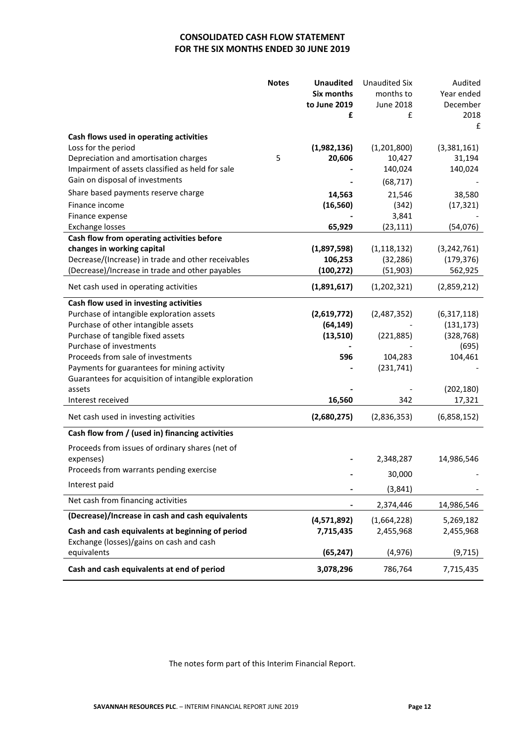# **CONSOLIDATED CASH FLOW STATEMENT FOR THE SIX MONTHS ENDED 30 JUNE 2019**

|                                                                          | <b>Notes</b> | <b>Unaudited</b><br>Six months | <b>Unaudited Six</b><br>months to | Audited<br>Year ended       |
|--------------------------------------------------------------------------|--------------|--------------------------------|-----------------------------------|-----------------------------|
|                                                                          |              | to June 2019                   | June 2018                         | December                    |
|                                                                          |              | £                              | £                                 | 2018                        |
| Cash flows used in operating activities                                  |              |                                |                                   | £                           |
| Loss for the period                                                      |              | (1,982,136)                    | (1,201,800)                       | (3,381,161)                 |
| Depreciation and amortisation charges                                    | 5            | 20,606                         | 10,427                            | 31,194                      |
| Impairment of assets classified as held for sale                         |              |                                | 140,024                           | 140,024                     |
| Gain on disposal of investments                                          |              |                                | (68, 717)                         |                             |
| Share based payments reserve charge                                      |              | 14,563                         | 21,546                            | 38,580                      |
| Finance income                                                           |              | (16, 560)                      | (342)                             | (17, 321)                   |
| Finance expense                                                          |              |                                | 3,841                             |                             |
| <b>Exchange losses</b>                                                   |              | 65,929                         | (23, 111)                         | (54,076)                    |
| Cash flow from operating activities before<br>changes in working capital |              |                                | (1, 118, 132)                     |                             |
| Decrease/(Increase) in trade and other receivables                       |              | (1,897,598)<br>106,253         | (32, 286)                         | (3, 242, 761)<br>(179, 376) |
| (Decrease)/Increase in trade and other payables                          |              | (100, 272)                     | (51, 903)                         | 562,925                     |
|                                                                          |              |                                |                                   |                             |
| Net cash used in operating activities                                    |              | (1,891,617)                    | (1,202,321)                       | (2,859,212)                 |
| Cash flow used in investing activities                                   |              |                                |                                   |                             |
| Purchase of intangible exploration assets                                |              | (2,619,772)                    | (2,487,352)                       | (6,317,118)                 |
| Purchase of other intangible assets<br>Purchase of tangible fixed assets |              | (64, 149)                      |                                   | (131, 173)<br>(328, 768)    |
| Purchase of investments                                                  |              | (13, 510)                      | (221, 885)                        | (695)                       |
| Proceeds from sale of investments                                        |              | 596                            | 104,283                           | 104,461                     |
| Payments for guarantees for mining activity                              |              |                                | (231, 741)                        |                             |
| Guarantees for acquisition of intangible exploration                     |              |                                |                                   |                             |
| assets                                                                   |              |                                |                                   | (202, 180)                  |
| Interest received                                                        |              | 16,560                         | 342                               | 17,321                      |
| Net cash used in investing activities                                    |              | (2,680,275)                    | (2,836,353)                       | (6,858,152)                 |
| Cash flow from / (used in) financing activities                          |              |                                |                                   |                             |
| Proceeds from issues of ordinary shares (net of                          |              |                                |                                   |                             |
| expenses)                                                                |              |                                | 2,348,287                         | 14,986,546                  |
| Proceeds from warrants pending exercise                                  |              |                                | 30,000                            |                             |
| Interest paid                                                            |              |                                | (3, 841)                          |                             |
| Net cash from financing activities                                       |              |                                | 2,374,446                         | 14,986,546                  |
| (Decrease)/Increase in cash and cash equivalents                         |              | (4,571,892)                    | (1,664,228)                       | 5,269,182                   |
| Cash and cash equivalents at beginning of period                         |              | 7,715,435                      | 2,455,968                         | 2,455,968                   |
| Exchange (losses)/gains on cash and cash                                 |              |                                |                                   |                             |
| equivalents                                                              |              | (65, 247)                      | (4, 976)                          | (9, 715)                    |
| Cash and cash equivalents at end of period                               |              | 3,078,296                      | 786,764                           | 7,715,435                   |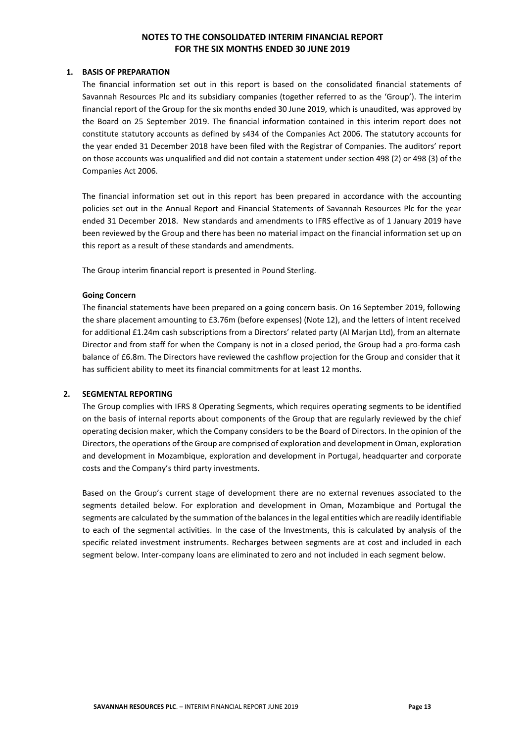#### **1. BASIS OF PREPARATION**

The financial information set out in this report is based on the consolidated financial statements of Savannah Resources Plc and its subsidiary companies (together referred to as the 'Group'). The interim financial report of the Group for the six months ended 30 June 2019, which is unaudited, was approved by the Board on 25 September 2019. The financial information contained in this interim report does not constitute statutory accounts as defined by s434 of the Companies Act 2006. The statutory accounts for the year ended 31 December 2018 have been filed with the Registrar of Companies. The auditors' report on those accounts was unqualified and did not contain a statement under section 498 (2) or 498 (3) of the Companies Act 2006.

The financial information set out in this report has been prepared in accordance with the accounting policies set out in the Annual Report and Financial Statements of Savannah Resources Plc for the year ended 31 December 2018. New standards and amendments to IFRS effective as of 1 January 2019 have been reviewed by the Group and there has been no material impact on the financial information set up on this report as a result of these standards and amendments.

The Group interim financial report is presented in Pound Sterling.

#### **Going Concern**

The financial statements have been prepared on a going concern basis. On 16 September 2019, following the share placement amounting to £3.76m (before expenses) (Note 12), and the letters of intent received for additional £1.24m cash subscriptions from a Directors' related party (Al Marjan Ltd), from an alternate Director and from staff for when the Company is not in a closed period, the Group had a pro-forma cash balance of £6.8m. The Directors have reviewed the cashflow projection for the Group and consider that it has sufficient ability to meet its financial commitments for at least 12 months.

#### **2. SEGMENTAL REPORTING**

The Group complies with IFRS 8 Operating Segments, which requires operating segments to be identified on the basis of internal reports about components of the Group that are regularly reviewed by the chief operating decision maker, which the Company considers to be the Board of Directors. In the opinion of the Directors, the operations of the Group are comprised of exploration and development in Oman, exploration and development in Mozambique, exploration and development in Portugal, headquarter and corporate costs and the Company's third party investments.

Based on the Group's current stage of development there are no external revenues associated to the segments detailed below. For exploration and development in Oman, Mozambique and Portugal the segments are calculated by the summation of the balances in the legal entities which are readily identifiable to each of the segmental activities. In the case of the Investments, this is calculated by analysis of the specific related investment instruments. Recharges between segments are at cost and included in each segment below. Inter-company loans are eliminated to zero and not included in each segment below.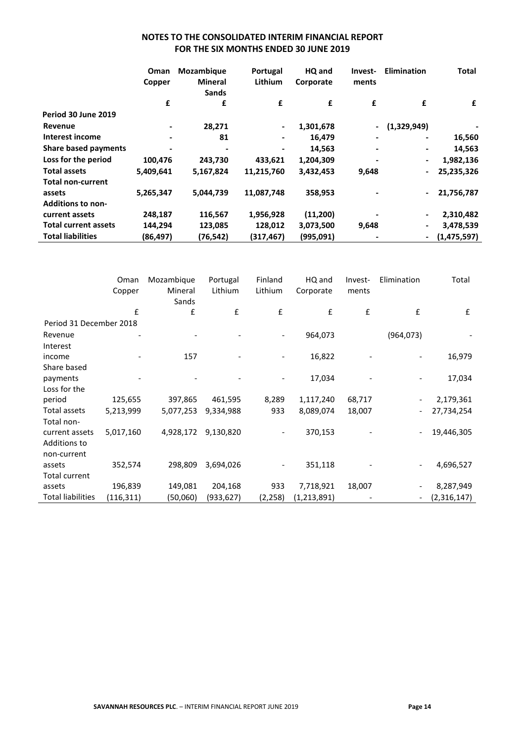|                             | Oman<br>Copper | Mozambique<br>Mineral<br><b>Sands</b> | Portugal<br><b>Lithium</b> | HQ and<br>Corporate | Invest-<br>ments         | <b>Elimination</b>           | Total       |
|-----------------------------|----------------|---------------------------------------|----------------------------|---------------------|--------------------------|------------------------------|-------------|
|                             | £              | £                                     | £                          | £                   | £                        | £                            | £           |
| Period 30 June 2019         |                |                                       |                            |                     |                          |                              |             |
| Revenue                     |                | 28,271                                | $\blacksquare$             | 1,301,678           | $\overline{\phantom{0}}$ | (1,329,949)                  |             |
| Interest income             |                | 81                                    |                            | 16,479              |                          | $\blacksquare$               | 16,560      |
| <b>Share based payments</b> |                |                                       |                            | 14,563              |                          | -                            | 14,563      |
| Loss for the period         | 100,476        | 243,730                               | 433,621                    | 1,204,309           | -                        | $\overline{\phantom{a}}$     | 1,982,136   |
| <b>Total assets</b>         | 5,409,641      | 5,167,824                             | 11,215,760                 | 3,432,453           | 9,648                    | $\qquad \qquad \blacksquare$ | 25,235,326  |
| <b>Total non-current</b>    |                |                                       |                            |                     |                          |                              |             |
| assets                      | 5,265,347      | 5,044,739                             | 11,087,748                 | 358,953             |                          | $\blacksquare$               | 21,756,787  |
| <b>Additions to non-</b>    |                |                                       |                            |                     |                          |                              |             |
| current assets              | 248,187        | 116,567                               | 1,956,928                  | (11,200)            |                          | $\blacksquare$               | 2,310,482   |
| <b>Total current assets</b> | 144,294        | 123,085                               | 128,012                    | 3,073,500           | 9,648                    | $\overline{\phantom{a}}$     | 3,478,539   |
| <b>Total liabilities</b>    | (86, 497)      | (76,542)                              | (317,467)                  | (995,091)           |                          | $\qquad \qquad \blacksquare$ | (1,475,597) |

|                         | Oman<br>Copper | Mozambique<br>Mineral<br>Sands | Portugal<br>Lithium | Finland<br>Lithium | HQ and<br>Corporate | Invest-<br>ments | Elimination                  | Total       |
|-------------------------|----------------|--------------------------------|---------------------|--------------------|---------------------|------------------|------------------------------|-------------|
|                         | £              | £                              | £                   | £                  | £                   | £                | £                            | £           |
| Period 31 December 2018 |                |                                |                     |                    |                     |                  |                              |             |
| Revenue                 |                |                                |                     |                    | 964,073             |                  | (964, 073)                   |             |
| Interest                |                |                                |                     |                    |                     |                  |                              |             |
| income                  |                | 157                            |                     |                    | 16,822              |                  |                              | 16,979      |
| Share based             |                |                                |                     |                    |                     |                  |                              |             |
| payments                |                |                                |                     |                    | 17,034              |                  |                              | 17,034      |
| Loss for the            |                |                                |                     |                    |                     |                  |                              |             |
| period                  | 125,655        | 397,865                        | 461,595             | 8,289              | 1,117,240           | 68,717           |                              | 2,179,361   |
| Total assets            | 5,213,999      | 5,077,253                      | 9,334,988           | 933                | 8,089,074           | 18,007           | $\qquad \qquad \blacksquare$ | 27,734,254  |
| Total non-              |                |                                |                     |                    |                     |                  |                              |             |
| current assets          | 5,017,160      | 4,928,172                      | 9,130,820           | -                  | 370,153             |                  | $\overline{\phantom{a}}$     | 19,446,305  |
| Additions to            |                |                                |                     |                    |                     |                  |                              |             |
| non-current             |                |                                |                     |                    |                     |                  |                              |             |
| assets                  | 352,574        | 298,809                        | 3,694,026           |                    | 351,118             |                  | $\overline{\phantom{a}}$     | 4,696,527   |
| Total current           |                |                                |                     |                    |                     |                  |                              |             |
| assets                  | 196,839        | 149,081                        | 204,168             | 933                | 7,718,921           | 18,007           |                              | 8,287,949   |
| Total liabilities       | (116, 311)     | (50,060)                       | (933,627)           | (2, 258)           | (1,213,891)         |                  |                              | (2,316,147) |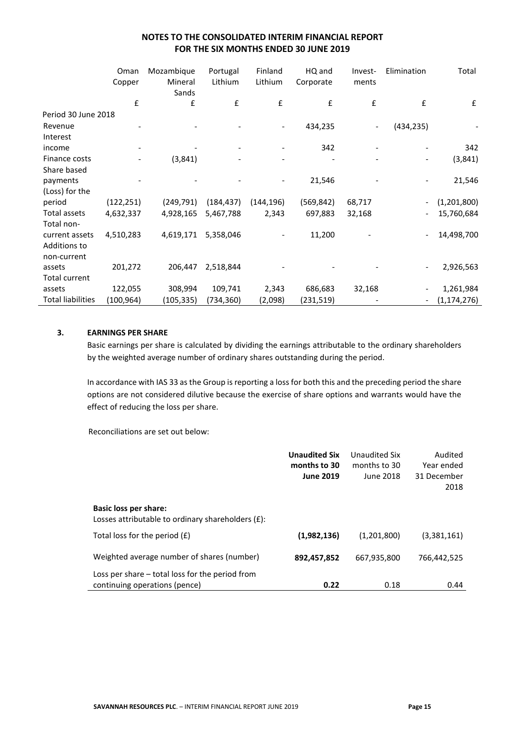|                          | Oman<br>Copper | Mozambique<br>Mineral<br>Sands | Portugal<br>Lithium | Finland<br>Lithium | HQ and<br>Corporate | Invest-<br>ments         | Elimination              | Total              |
|--------------------------|----------------|--------------------------------|---------------------|--------------------|---------------------|--------------------------|--------------------------|--------------------|
|                          | £              | £                              | £                   | £                  | £                   | £                        | £                        | $\pmb{\mathsf{f}}$ |
| Period 30 June 2018      |                |                                |                     |                    |                     |                          |                          |                    |
| Revenue                  |                |                                |                     |                    | 434,235             | $\overline{\phantom{a}}$ | (434, 235)               |                    |
| Interest                 |                |                                |                     |                    |                     |                          |                          |                    |
| income                   |                |                                |                     |                    | 342                 |                          |                          | 342                |
| Finance costs            |                | (3,841)                        |                     |                    |                     |                          | $\overline{\phantom{0}}$ | (3,841)            |
| Share based              |                |                                |                     |                    |                     |                          |                          |                    |
| payments                 |                |                                |                     |                    | 21,546              |                          |                          | 21,546             |
| (Loss) for the           |                |                                |                     |                    |                     |                          |                          |                    |
| period                   | (122, 251)     | (249, 791)                     | (184,437)           | (144, 196)         | (569, 842)          | 68,717                   | $\overline{\phantom{a}}$ | (1,201,800)        |
| Total assets             | 4,632,337      | 4,928,165                      | 5,467,788           | 2,343              | 697,883             | 32,168                   | $\overline{\phantom{a}}$ | 15,760,684         |
| Total non-               |                |                                |                     |                    |                     |                          |                          |                    |
| current assets           | 4,510,283      | 4,619,171                      | 5,358,046           |                    | 11,200              |                          |                          | 14,498,700         |
| Additions to             |                |                                |                     |                    |                     |                          |                          |                    |
| non-current              |                |                                |                     |                    |                     |                          |                          |                    |
| assets                   | 201,272        | 206,447                        | 2,518,844           |                    |                     |                          |                          | 2,926,563          |
| Total current            |                |                                |                     |                    |                     |                          |                          |                    |
| assets                   | 122,055        | 308,994                        | 109,741             | 2,343              | 686,683             | 32,168                   |                          | 1,261,984          |
| <b>Total liabilities</b> | (100,964)      | (105,335)                      | (734,360)           | (2,098)            | (231,519)           |                          | $\overline{\phantom{a}}$ | (1, 174, 276)      |

### **3. EARNINGS PER SHARE**

Basic earnings per share is calculated by dividing the earnings attributable to the ordinary shareholders by the weighted average number of ordinary shares outstanding during the period.

In accordance with IAS 33 as the Group is reporting a loss for both this and the preceding period the share options are not considered dilutive because the exercise of share options and warrants would have the effect of reducing the loss per share.

Reconciliations are set out below:

|                                                                                    | <b>Unaudited Six</b><br>months to 30<br><b>June 2019</b> | Unaudited Six<br>months to 30<br>June 2018 | Audited<br>Year ended<br>31 December |
|------------------------------------------------------------------------------------|----------------------------------------------------------|--------------------------------------------|--------------------------------------|
|                                                                                    |                                                          |                                            | 2018                                 |
| <b>Basic loss per share:</b><br>Losses attributable to ordinary shareholders (£):  |                                                          |                                            |                                      |
| Total loss for the period $(f)$                                                    | (1,982,136)                                              | (1,201,800)                                | (3,381,161)                          |
| Weighted average number of shares (number)                                         | 892,457,852                                              | 667,935,800                                | 766,442,525                          |
| Loss per share $-$ total loss for the period from<br>continuing operations (pence) | 0.22                                                     | 0.18                                       | 0.44                                 |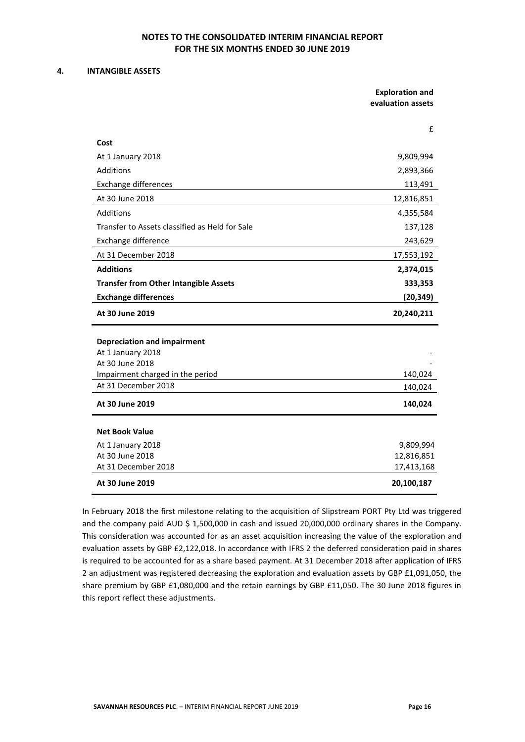#### **4. INTANGIBLE ASSETS**

| <b>Exploration and</b> |
|------------------------|
| evaluation assets      |

|                                                         | f          |
|---------------------------------------------------------|------------|
| Cost                                                    |            |
| At 1 January 2018                                       | 9,809,994  |
| Additions                                               | 2,893,366  |
| <b>Exchange differences</b>                             | 113,491    |
| At 30 June 2018                                         | 12,816,851 |
| <b>Additions</b>                                        | 4,355,584  |
| Transfer to Assets classified as Held for Sale          | 137,128    |
| Exchange difference                                     | 243,629    |
| At 31 December 2018                                     | 17,553,192 |
| <b>Additions</b>                                        | 2,374,015  |
| <b>Transfer from Other Intangible Assets</b>            | 333,353    |
| <b>Exchange differences</b>                             | (20, 349)  |
|                                                         |            |
| At 30 June 2019                                         | 20,240,211 |
|                                                         |            |
| <b>Depreciation and impairment</b><br>At 1 January 2018 |            |
| At 30 June 2018                                         |            |
| Impairment charged in the period                        | 140,024    |
| At 31 December 2018                                     | 140,024    |
| At 30 June 2019                                         | 140,024    |
| <b>Net Book Value</b>                                   |            |
| At 1 January 2018                                       | 9,809,994  |
| At 30 June 2018                                         | 12,816,851 |
| At 31 December 2018                                     | 17,413,168 |

In February 2018 the first milestone relating to the acquisition of Slipstream PORT Pty Ltd was triggered and the company paid AUD \$ 1,500,000 in cash and issued 20,000,000 ordinary shares in the Company. This consideration was accounted for as an asset acquisition increasing the value of the exploration and evaluation assets by GBP £2,122,018. In accordance with IFRS 2 the deferred consideration paid in shares is required to be accounted for as a share based payment. At 31 December 2018 after application of IFRS 2 an adjustment was registered decreasing the exploration and evaluation assets by GBP £1,091,050, the share premium by GBP £1,080,000 and the retain earnings by GBP £11,050. The 30 June 2018 figures in this report reflect these adjustments.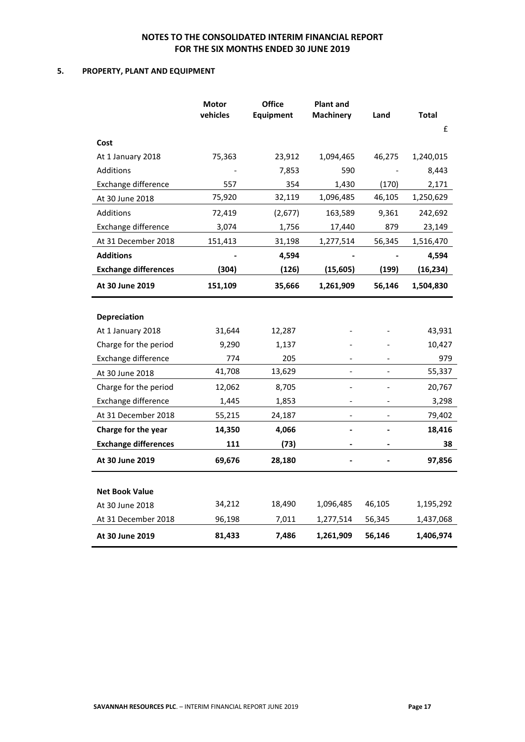### **5. PROPERTY, PLANT AND EQUIPMENT**

|                                        | Motor<br>vehicles | <b>Office</b><br>Equipment | <b>Plant and</b><br><b>Machinery</b> | Land   | <b>Total</b> |
|----------------------------------------|-------------------|----------------------------|--------------------------------------|--------|--------------|
|                                        |                   |                            |                                      |        | £            |
| Cost                                   |                   |                            |                                      |        |              |
| At 1 January 2018                      | 75,363            | 23,912                     | 1,094,465                            | 46,275 | 1,240,015    |
| <b>Additions</b>                       |                   | 7,853                      | 590                                  |        | 8,443        |
| Exchange difference                    | 557               | 354                        | 1,430                                | (170)  | 2,171        |
| At 30 June 2018                        | 75,920            | 32,119                     | 1,096,485                            | 46,105 | 1,250,629    |
| <b>Additions</b>                       | 72,419            | (2,677)                    | 163,589                              | 9,361  | 242,692      |
| Exchange difference                    | 3,074             | 1,756                      | 17,440                               | 879    | 23,149       |
| At 31 December 2018                    | 151,413           | 31,198                     | 1,277,514                            | 56,345 | 1,516,470    |
| <b>Additions</b>                       |                   | 4,594                      |                                      |        | 4,594        |
| <b>Exchange differences</b>            | (304)             | (126)                      | (15, 605)                            | (199)  | (16, 234)    |
| At 30 June 2019                        | 151,109           | 35,666                     | 1,261,909                            | 56,146 | 1,504,830    |
|                                        |                   |                            |                                      |        |              |
| <b>Depreciation</b>                    |                   |                            |                                      |        |              |
| At 1 January 2018                      | 31,644            | 12,287                     |                                      |        | 43,931       |
| Charge for the period                  | 9,290             | 1,137                      |                                      |        | 10,427       |
| Exchange difference                    | 774               | 205                        |                                      |        | 979          |
| At 30 June 2018                        | 41,708            | 13,629                     | $\blacksquare$                       |        | 55,337       |
| Charge for the period                  | 12,062            | 8,705                      | $\overline{a}$                       |        | 20,767       |
| Exchange difference                    | 1,445             | 1,853                      |                                      |        | 3,298        |
| At 31 December 2018                    | 55,215            | 24,187                     |                                      |        | 79,402       |
| Charge for the year                    | 14,350            | 4,066                      | $\qquad \qquad \blacksquare$         |        | 18,416       |
| <b>Exchange differences</b>            | 111               | (73)                       |                                      |        | 38           |
| At 30 June 2019                        | 69,676            | 28,180                     |                                      |        | 97,856       |
| <b>Net Book Value</b>                  |                   |                            |                                      |        |              |
|                                        | 34,212            | 18,490                     | 1,096,485                            | 46,105 | 1,195,292    |
| At 30 June 2018<br>At 31 December 2018 |                   | 7,011                      |                                      |        |              |
|                                        | 96,198            |                            | 1,277,514                            | 56,345 | 1,437,068    |
| At 30 June 2019                        | 81,433            | 7,486                      | 1,261,909                            | 56,146 | 1,406,974    |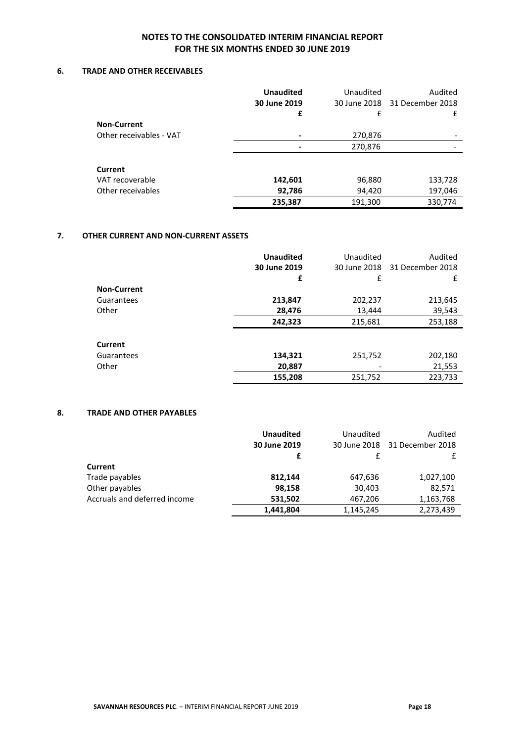### **6. TRADE AND OTHER RECEIVABLES**

|                         | <b>Unaudited</b> | Unaudited | Audited                       |
|-------------------------|------------------|-----------|-------------------------------|
|                         | 30 June 2019     |           | 30 June 2018 31 December 2018 |
|                         | £                | £         | £                             |
| <b>Non-Current</b>      |                  |           |                               |
| Other receivables - VAT |                  | 270,876   |                               |
|                         |                  | 270,876   |                               |
| <b>Current</b>          |                  |           |                               |
| VAT recoverable         | 142,601          | 96,880    | 133,728                       |
| Other receivables       | 92,786           | 94,420    | 197,046                       |
|                         | 235,387          | 191,300   | 330,774                       |

#### **7. OTHER CURRENT AND NON-CURRENT ASSETS**

|                    | <b>Unaudited</b> | Unaudited    | Audited          |
|--------------------|------------------|--------------|------------------|
|                    | 30 June 2019     | 30 June 2018 | 31 December 2018 |
|                    | £                | £            | £                |
| <b>Non-Current</b> |                  |              |                  |
| Guarantees         | 213,847          | 202,237      | 213,645          |
| Other              | 28,476           | 13,444       | 39,543           |
|                    | 242,323          | 215,681      | 253,188          |
|                    |                  |              |                  |
| Current            |                  |              |                  |
| Guarantees         | 134,321          | 251,752      | 202,180          |
| Other              | 20,887           |              | 21,553           |
|                    | 155,208          | 251.752      | 223,733          |

#### **8. TRADE AND OTHER PAYABLES**

|                              | <b>Unaudited</b> | Unaudited | Audited                       |
|------------------------------|------------------|-----------|-------------------------------|
|                              | 30 June 2019     |           | 30 June 2018 31 December 2018 |
|                              | £                | f         |                               |
| Current                      |                  |           |                               |
| Trade payables               | 812,144          | 647,636   | 1,027,100                     |
| Other payables               | 98,158           | 30,403    | 82,571                        |
| Accruals and deferred income | 531,502          | 467,206   | 1,163,768                     |
|                              | 1,441,804        | 1,145,245 | 2,273,439                     |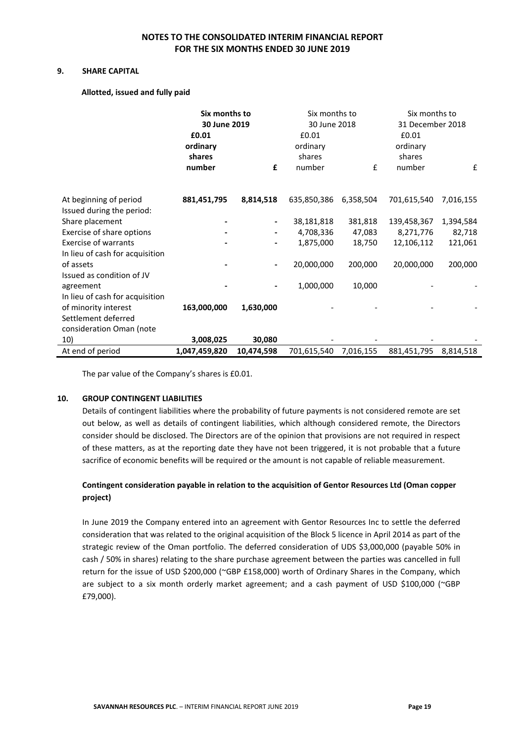#### **9. SHARE CAPITAL**

 **Allotted, issued and fully paid**

|                                                     | Six months to<br>30 June 2019<br>£0.01<br>ordinary<br>shares<br>number | £          | Six months to<br>30 June 2018<br>£0.01<br>ordinary<br>shares<br>number | £         | Six months to<br>31 December 2018<br>£0.01<br>ordinary<br>shares<br>number | £         |
|-----------------------------------------------------|------------------------------------------------------------------------|------------|------------------------------------------------------------------------|-----------|----------------------------------------------------------------------------|-----------|
| At beginning of period<br>Issued during the period: | 881,451,795                                                            | 8,814,518  | 635,850,386                                                            | 6,358,504 | 701,615,540                                                                | 7,016,155 |
| Share placement                                     |                                                                        |            | 38,181,818                                                             | 381,818   | 139,458,367                                                                | 1,394,584 |
| Exercise of share options                           |                                                                        | -          | 4,708,336                                                              | 47,083    | 8,271,776                                                                  | 82,718    |
| <b>Exercise of warrants</b>                         |                                                                        |            | 1,875,000                                                              | 18,750    | 12,106,112                                                                 | 121,061   |
| In lieu of cash for acquisition                     |                                                                        |            |                                                                        |           |                                                                            |           |
| of assets                                           |                                                                        | -          | 20,000,000                                                             | 200,000   | 20,000,000                                                                 | 200,000   |
| Issued as condition of JV                           |                                                                        |            |                                                                        |           |                                                                            |           |
| agreement                                           |                                                                        |            | 1,000,000                                                              | 10,000    |                                                                            |           |
| In lieu of cash for acquisition                     |                                                                        |            |                                                                        |           |                                                                            |           |
| of minority interest                                | 163,000,000                                                            | 1,630,000  |                                                                        |           |                                                                            |           |
| Settlement deferred                                 |                                                                        |            |                                                                        |           |                                                                            |           |
| consideration Oman (note                            |                                                                        |            |                                                                        |           |                                                                            |           |
| 10)                                                 | 3,008,025                                                              | 30,080     |                                                                        |           |                                                                            |           |
| At end of period                                    | 1,047,459,820                                                          | 10,474,598 | 701,615,540                                                            | 7,016,155 | 881,451,795                                                                | 8,814,518 |

The par value of the Company's shares is £0.01.

#### **10. GROUP CONTINGENT LIABILITIES**

Details of contingent liabilities where the probability of future payments is not considered remote are set out below, as well as details of contingent liabilities, which although considered remote, the Directors consider should be disclosed. The Directors are of the opinion that provisions are not required in respect of these matters, as at the reporting date they have not been triggered, it is not probable that a future sacrifice of economic benefits will be required or the amount is not capable of reliable measurement.

# **Contingent consideration payable in relation to the acquisition of Gentor Resources Ltd (Oman copper project)**

In June 2019 the Company entered into an agreement with Gentor Resources Inc to settle the deferred consideration that was related to the original acquisition of the Block 5 licence in April 2014 as part of the strategic review of the Oman portfolio. The deferred consideration of UDS \$3,000,000 (payable 50% in cash / 50% in shares) relating to the share purchase agreement between the parties was cancelled in full return for the issue of USD \$200,000 (~GBP £158,000) worth of Ordinary Shares in the Company, which are subject to a six month orderly market agreement; and a cash payment of USD \$100,000 (~GBP £79,000).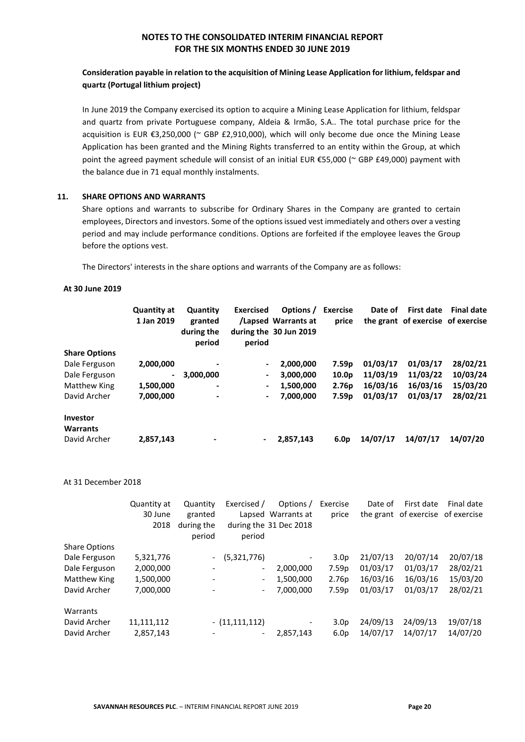# **Consideration payable in relation to the acquisition of Mining Lease Application for lithium, feldspar and quartz (Portugal lithium project)**

In June 2019 the Company exercised its option to acquire a Mining Lease Application for lithium, feldspar and quartz from private Portuguese company, Aldeia & Irmão, S.A.. The total purchase price for the acquisition is EUR €3,250,000 (~ GBP £2,910,000), which will only become due once the Mining Lease Application has been granted and the Mining Rights transferred to an entity within the Group, at which point the agreed payment schedule will consist of an initial EUR €55,000 (~ GBP £49,000) payment with the balance due in 71 equal monthly instalments.

### **11. SHARE OPTIONS AND WARRANTS**

Share options and warrants to subscribe for Ordinary Shares in the Company are granted to certain employees, Directors and investors. Some of the options issued vest immediately and others over a vesting period and may include performance conditions. Options are forfeited if the employee leaves the Group before the options vest.

The Directors' interests in the share options and warrants of the Company are as follows:

#### **At 30 June 2019**

|                                    | <b>Quantity at</b><br>1 Jan 2019 | Quantity<br>granted<br>during the<br>period | <b>Exercised</b><br>period | Options /<br>/Lapsed Warrants at<br>during the 30 Jun 2019 | <b>Exercise</b><br>price | Date of  | <b>First date</b><br>the grant of exercise of exercise | <b>Final date</b> |
|------------------------------------|----------------------------------|---------------------------------------------|----------------------------|------------------------------------------------------------|--------------------------|----------|--------------------------------------------------------|-------------------|
| <b>Share Options</b>               |                                  |                                             |                            |                                                            |                          |          |                                                        |                   |
| Dale Ferguson                      | 2,000,000                        | ٠                                           |                            | 2,000,000                                                  | 7.59 <sub>p</sub>        | 01/03/17 | 01/03/17                                               | 28/02/21          |
| Dale Ferguson                      | $\blacksquare$                   | 3,000,000                                   | $\blacksquare$             | 3,000,000                                                  | 10.0 <sub>p</sub>        | 11/03/19 | 11/03/22                                               | 10/03/24          |
| <b>Matthew King</b>                | 1,500,000                        | $\overline{\phantom{a}}$                    | ۰.                         | 1,500,000                                                  | 2.76 <sub>p</sub>        | 16/03/16 | 16/03/16                                               | 15/03/20          |
| David Archer                       | 7,000,000                        | $\overline{\phantom{a}}$                    | $\overline{\phantom{0}}$   | 7.000.000                                                  | 7.59 <sub>p</sub>        | 01/03/17 | 01/03/17                                               | 28/02/21          |
| <b>Investor</b><br><b>Warrants</b> |                                  |                                             |                            |                                                            |                          |          |                                                        |                   |
| David Archer                       | 2,857,143                        | ٠                                           | $\blacksquare$             | 2,857,143                                                  | 6.0 <sub>p</sub>         | 14/07/17 | 14/07/17                                               | 14/07/20          |

#### At 31 December 2018

|                      | Quantity at | Quantity                 | Exercised /              | Options /              | Exercise          | Date of  | First date                        | Final date |
|----------------------|-------------|--------------------------|--------------------------|------------------------|-------------------|----------|-----------------------------------|------------|
|                      | 30 June     | granted                  |                          | Lapsed Warrants at     | price             |          | the grant of exercise of exercise |            |
|                      | 2018        | during the<br>period     | period                   | during the 31 Dec 2018 |                   |          |                                   |            |
| <b>Share Options</b> |             |                          |                          |                        |                   |          |                                   |            |
| Dale Ferguson        | 5,321,776   | $\sim$                   | (5,321,776)              |                        | 3.0 <sub>p</sub>  | 21/07/13 | 20/07/14                          | 20/07/18   |
| Dale Ferguson        | 2,000,000   | $\overline{\phantom{a}}$ | $\overline{\phantom{a}}$ | 2,000,000              | 7.59 <sub>p</sub> | 01/03/17 | 01/03/17                          | 28/02/21   |
| Matthew King         | 1,500,000   |                          | $\overline{\phantom{a}}$ | 1,500,000              | 2.76p             | 16/03/16 | 16/03/16                          | 15/03/20   |
| David Archer         | 7,000,000   |                          | $\overline{\phantom{a}}$ | 7,000,000              | 7.59p             | 01/03/17 | 01/03/17                          | 28/02/21   |
| Warrants             |             |                          |                          |                        |                   |          |                                   |            |
| David Archer         | 11,111,112  |                          | $- (11, 111, 112)$       | -                      | 3.0 <sub>p</sub>  | 24/09/13 | 24/09/13                          | 19/07/18   |
| David Archer         | 2,857,143   |                          | $\overline{\phantom{a}}$ | 2,857,143              | 6.0 <sub>p</sub>  | 14/07/17 | 14/07/17                          | 14/07/20   |